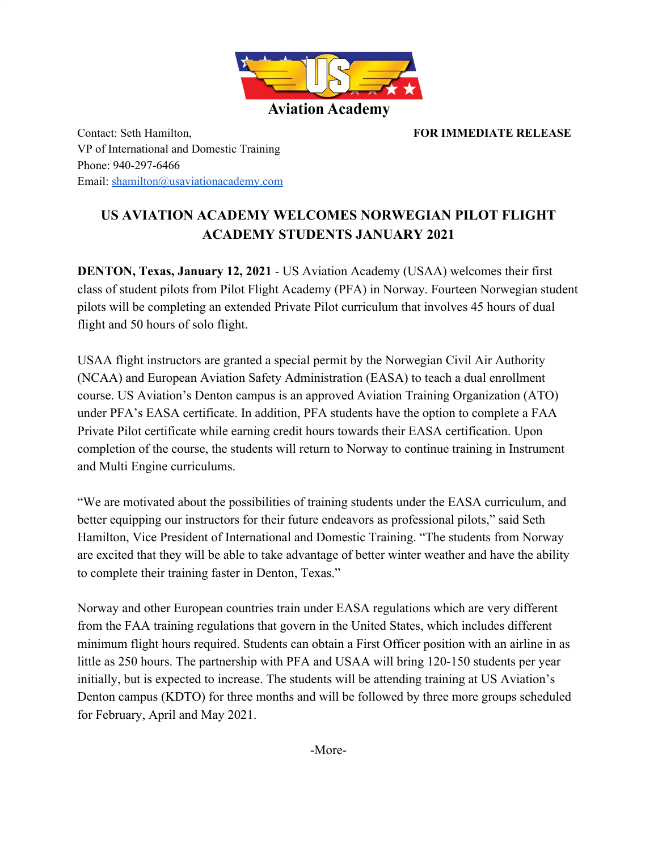

Contact: Seth Hamilton, **FOR IMMEDIATE RELEASE** VP of International and Domestic Training Phone: 940-297-6466 Email: [shamilton@usaviationacademy.com](mailto:shamilton@usaviationacademy.com)

## **US AVIATION ACADEMY WELCOMES NORWEGIAN PILOT FLIGHT ACADEMY STUDENTS JANUARY 2021**

**DENTON, Texas, January 12, 2021** - US Aviation Academy (USAA) welcomes their first class of student pilots from Pilot Flight Academy (PFA) in Norway. Fourteen Norwegian student pilots will be completing an extended Private Pilot curriculum that involves 45 hours of dual flight and 50 hours of solo flight.

USAA flight instructors are granted a special permit by the Norwegian Civil Air Authority (NCAA) and European Aviation Safety Administration (EASA) to teach a dual enrollment course. US Aviation's Denton campus is an approved Aviation Training Organization (ATO) under PFA's EASA certificate. In addition, PFA students have the option to complete a FAA Private Pilot certificate while earning credit hours towards their EASA certification. Upon completion of the course, the students will return to Norway to continue training in Instrument and Multi Engine curriculums.

"We are motivated about the possibilities of training students under the EASA curriculum, and better equipping our instructors for their future endeavors as professional pilots," said Seth Hamilton, Vice President of International and Domestic Training. "The students from Norway are excited that they will be able to take advantage of better winter weather and have the ability to complete their training faster in Denton, Texas."

Norway and other European countries train under EASA regulations which are very different from the FAA training regulations that govern in the United States, which includes different minimum flight hours required. Students can obtain a First Officer position with an airline in as little as 250 hours. The partnership with PFA and USAA will bring 120-150 students per year initially, but is expected to increase. The students will be attending training at US Aviation's Denton campus (KDTO) for three months and will be followed by three more groups scheduled for February, April and May 2021.

-More-